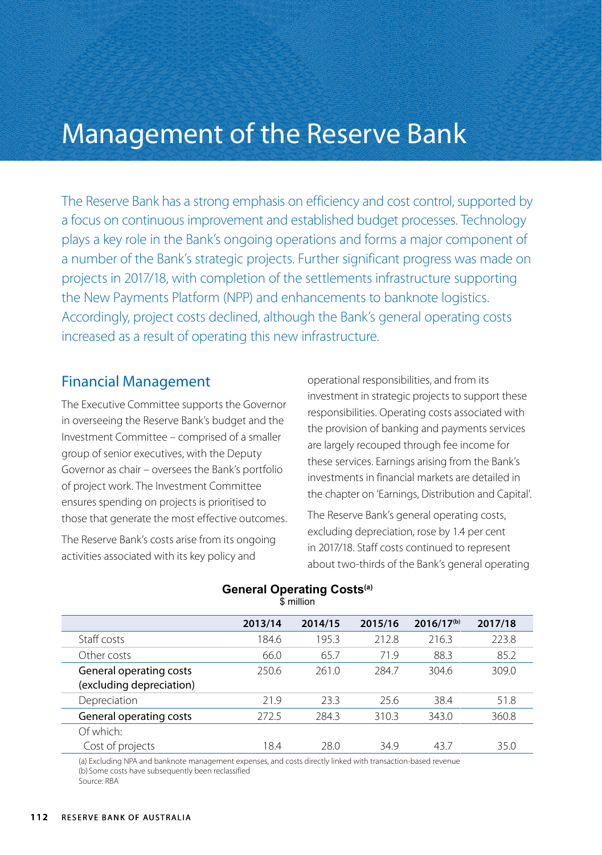# Management of the Reserve Bank

The Reserve Bank has a strong emphasis on efficiency and cost control, supported by a focus on continuous improvement and established budget processes. Technology plays a key role in the Bank's ongoing operations and forms a major component of a number of the Bank's strategic projects. Further significant progress was made on projects in 2017/18, with completion of the settlements infrastructure supporting the New Payments Platform (NPP) and enhancements to banknote logistics. Accordingly, project costs declined, although the Bank's general operating costs increased as a result of operating this new infrastructure.

## Financial Management

The Executive Committee supports the Governor in overseeing the Reserve Bank's budget and the Investment Committee – comprised of a smaller group of senior executives, with the Deputy Governor as chair – oversees the Bank's portfolio of project work. The Investment Committee ensures spending on projects is prioritised to those that generate the most effective outcomes.

The Reserve Bank's costs arise from its ongoing activities associated with its key policy and

operational responsibilities, and from its investment in strategic projects to support these responsibilities. Operating costs associated with the provision of banking and payments services are largely recouped through fee income for these services. Earnings arising from the Bank's investments in financial markets are detailed in the chapter on 'Earnings, Distribution and Capital'.

The Reserve Bank's general operating costs, excluding depreciation, rose by 1.4 per cent in 2017/18. Staff costs continued to represent about two-thirds of the Bank's general operating

|                          | 2013/14 | 2014/15 | 2015/16 | $2016/17^{(b)}$ | 2017/18 |
|--------------------------|---------|---------|---------|-----------------|---------|
| Staff costs              | 184.6   | 195.3   | 212.8   | 216.3           | 223.8   |
| Other costs              | 66.0    | 65.7    | 71.9    | 88.3            | 85.2    |
| General operating costs  | 250.6   | 261.0   | 284.7   | 304.6           | 309.0   |
| (excluding depreciation) |         |         |         |                 |         |
| Depreciation             | 21.9    | 23.3    | 25.6    | 38.4            | 51.8    |
| General operating costs  | 272.5   | 284.3   | 310.3   | 343.0           | 360.8   |
| Of which:                |         |         |         |                 |         |
| Cost of projects         | 184     | 28.0    | 349     | 437             | 35.0    |

#### **General Operating Costs(a)** \$ million

(a) Excluding NPA and banknote management expenses, and costs directly linked with transaction-based revenue (b) Some costs have subsequently been reclassified Source: RBA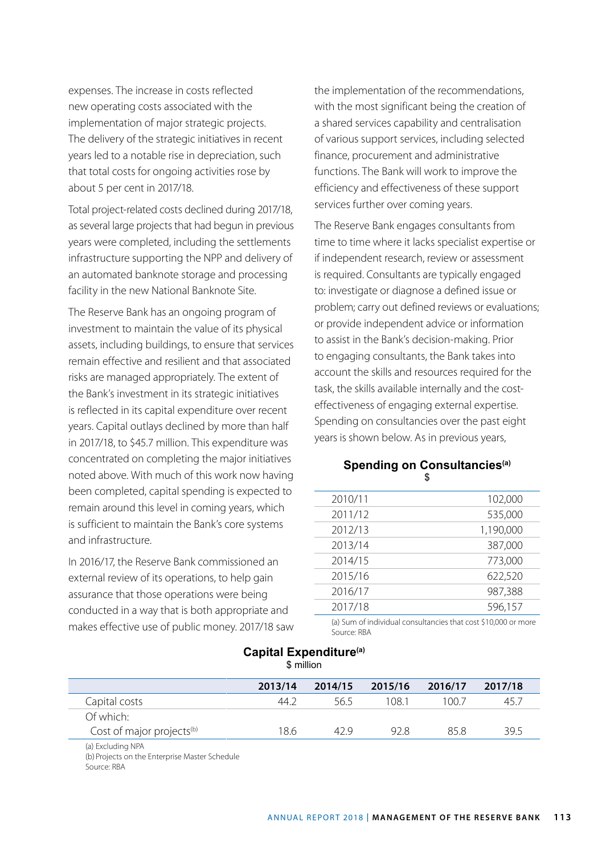expenses. The increase in costs reflected new operating costs associated with the implementation of major strategic projects. The delivery of the strategic initiatives in recent years led to a notable rise in depreciation, such that total costs for ongoing activities rose by about 5 per cent in 2017/18.

Total project-related costs declined during 2017/18, as several large projects that had begun in previous years were completed, including the settlements infrastructure supporting the NPP and delivery of an automated banknote storage and processing facility in the new National Banknote Site.

The Reserve Bank has an ongoing program of investment to maintain the value of its physical assets, including buildings, to ensure that services remain effective and resilient and that associated risks are managed appropriately. The extent of the Bank's investment in its strategic initiatives is reflected in its capital expenditure over recent years. Capital outlays declined by more than half in 2017/18, to \$45.7 million. This expenditure was concentrated on completing the major initiatives noted above. With much of this work now having been completed, capital spending is expected to remain around this level in coming years, which is sufficient to maintain the Bank's core systems and infrastructure.

In 2016/17, the Reserve Bank commissioned an external review of its operations, to help gain assurance that those operations were being conducted in a way that is both appropriate and makes effective use of public money. 2017/18 saw the implementation of the recommendations, with the most significant being the creation of a shared services capability and centralisation of various support services, including selected finance, procurement and administrative functions. The Bank will work to improve the efficiency and effectiveness of these support services further over coming years.

The Reserve Bank engages consultants from time to time where it lacks specialist expertise or if independent research, review or assessment is required. Consultants are typically engaged to: investigate or diagnose a defined issue or problem; carry out defined reviews or evaluations; or provide independent advice or information to assist in the Bank's decision-making. Prior to engaging consultants, the Bank takes into account the skills and resources required for the task, the skills available internally and the costeffectiveness of engaging external expertise. Spending on consultancies over the past eight years is shown below. As in previous years,

### **Spending on Consultancies(a)** \$

| 2010/11 | 102,000   |
|---------|-----------|
| 2011/12 | 535,000   |
| 2012/13 | 1,190,000 |
| 2013/14 | 387,000   |
| 2014/15 | 773,000   |
| 2015/16 | 622,520   |
| 2016/17 | 987,388   |
| 2017/18 | 596,157   |
|         |           |

(a) Sum of individual consultancies that cost \$10,000 or more Source: RBA

#### **Capital Expenditure(a)** \$ million

|                                       | 2013/14 | 2014/15 | 2015/16 | 2016/17 | 2017/18 |
|---------------------------------------|---------|---------|---------|---------|---------|
| Capital costs                         | 44 2    | 565     | 108 1   | 1007    | 45.7    |
| Of which:                             |         |         |         |         |         |
| Cost of major projects <sup>(b)</sup> | 18.6    | 42 Q    | 928     | 858     | 39.5    |
| (a) Excluding NPA                     |         |         |         |         |         |

(b) Projects on the Enterprise Master Schedule Source: RBA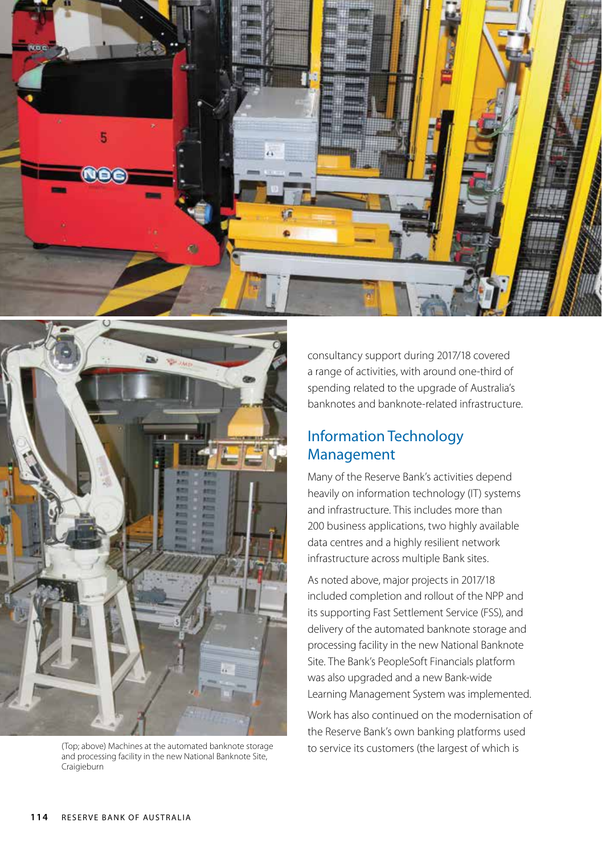



(Top; above) Machines at the automated banknote storage and processing facility in the new National Banknote Site, Craigieburn

consultancy support during 2017/18 covered a range of activities, with around one-third of spending related to the upgrade of Australia's banknotes and banknote-related infrastructure.

# Information Technology Management

Many of the Reserve Bank's activities depend heavily on information technology (IT) systems and infrastructure. This includes more than 200 business applications, two highly available data centres and a highly resilient network infrastructure across multiple Bank sites.

As noted above, major projects in 2017/18 included completion and rollout of the NPP and its supporting Fast Settlement Service (FSS), and delivery of the automated banknote storage and processing facility in the new National Banknote Site. The Bank's PeopleSoft Financials platform was also upgraded and a new Bank-wide Learning Management System was implemented.

Work has also continued on the modernisation of the Reserve Bank's own banking platforms used to service its customers (the largest of which is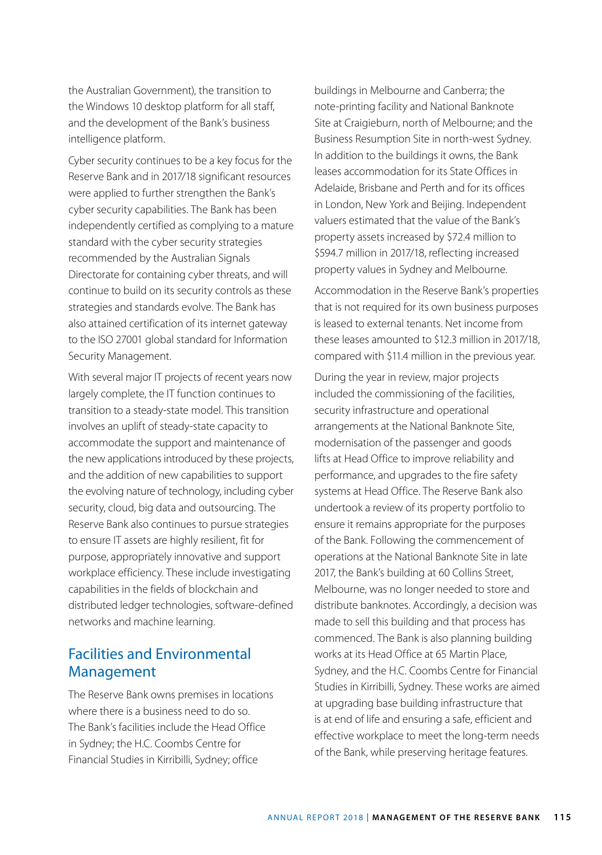the Australian Government), the transition to the Windows 10 desktop platform for all staff, and the development of the Bank's business intelligence platform.

Cyber security continues to be a key focus for the Reserve Bank and in 2017/18 significant resources were applied to further strengthen the Bank's cyber security capabilities. The Bank has been independently certified as complying to a mature standard with the cyber security strategies recommended by the Australian Signals Directorate for containing cyber threats, and will continue to build on its security controls as these strategies and standards evolve. The Bank has also attained certification of its internet gateway to the ISO 27001 global standard for Information Security Management.

With several major IT projects of recent years now largely complete, the IT function continues to transition to a steady-state model. This transition involves an uplift of steady-state capacity to accommodate the support and maintenance of the new applications introduced by these projects, and the addition of new capabilities to support the evolving nature of technology, including cyber security, cloud, big data and outsourcing. The Reserve Bank also continues to pursue strategies to ensure IT assets are highly resilient, fit for purpose, appropriately innovative and support workplace efficiency. These include investigating capabilities in the fields of blockchain and distributed ledger technologies, software-defined networks and machine learning.

## Facilities and Environmental Management

The Reserve Bank owns premises in locations where there is a business need to do so. The Bank's facilities include the Head Office in Sydney; the H.C. Coombs Centre for Financial Studies in Kirribilli, Sydney; office

buildings in Melbourne and Canberra; the note-printing facility and National Banknote Site at Craigieburn, north of Melbourne; and the Business Resumption Site in north-west Sydney. In addition to the buildings it owns, the Bank leases accommodation for its State Offices in Adelaide, Brisbane and Perth and for its offices in London, New York and Beijing. Independent valuers estimated that the value of the Bank's property assets increased by \$72.4 million to \$594.7 million in 2017/18, reflecting increased property values in Sydney and Melbourne.

Accommodation in the Reserve Bank's properties that is not required for its own business purposes is leased to external tenants. Net income from these leases amounted to \$12.3 million in 2017/18, compared with \$11.4 million in the previous year.

During the year in review, major projects included the commissioning of the facilities, security infrastructure and operational arrangements at the National Banknote Site, modernisation of the passenger and goods lifts at Head Office to improve reliability and performance, and upgrades to the fire safety systems at Head Office. The Reserve Bank also undertook a review of its property portfolio to ensure it remains appropriate for the purposes of the Bank. Following the commencement of operations at the National Banknote Site in late 2017, the Bank's building at 60 Collins Street, Melbourne, was no longer needed to store and distribute banknotes. Accordingly, a decision was made to sell this building and that process has commenced. The Bank is also planning building works at its Head Office at 65 Martin Place, Sydney, and the H.C. Coombs Centre for Financial Studies in Kirribilli, Sydney. These works are aimed at upgrading base building infrastructure that is at end of life and ensuring a safe, efficient and effective workplace to meet the long-term needs of the Bank, while preserving heritage features.